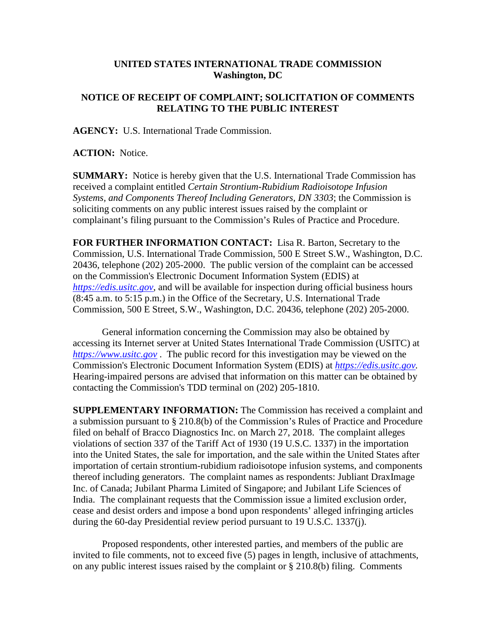## **UNITED STATES INTERNATIONAL TRADE COMMISSION Washington, DC**

## **NOTICE OF RECEIPT OF COMPLAINT; SOLICITATION OF COMMENTS RELATING TO THE PUBLIC INTEREST**

**AGENCY:** U.S. International Trade Commission.

**ACTION:** Notice.

**SUMMARY:** Notice is hereby given that the U.S. International Trade Commission has received a complaint entitled *Certain Strontium-Rubidium Radioisotope Infusion Systems, and Components Thereof Including Generators, DN 3303*; the Commission is soliciting comments on any public interest issues raised by the complaint or complainant's filing pursuant to the Commission's Rules of Practice and Procedure.

**FOR FURTHER INFORMATION CONTACT:** Lisa R. Barton, Secretary to the Commission, U.S. International Trade Commission, 500 E Street S.W., Washington, D.C. 20436, telephone (202) 205-2000. The public version of the complaint can be accessed on the Commission's Electronic Document Information System (EDIS) at *[https://edis.usitc.gov](https://edis.usitc.gov/)*, and will be available for inspection during official business hours (8:45 a.m. to 5:15 p.m.) in the Office of the Secretary, U.S. International Trade Commission, 500 E Street, S.W., Washington, D.C. 20436, telephone (202) 205-2000.

General information concerning the Commission may also be obtained by accessing its Internet server at United States International Trade Commission (USITC) at *[https://www.usitc.gov](https://www.usitc.gov/)* . The public record for this investigation may be viewed on the Commission's Electronic Document Information System (EDIS) at *[https://edis.usitc.gov.](https://edis.usitc.gov/)* Hearing-impaired persons are advised that information on this matter can be obtained by contacting the Commission's TDD terminal on (202) 205-1810.

**SUPPLEMENTARY INFORMATION:** The Commission has received a complaint and a submission pursuant to § 210.8(b) of the Commission's Rules of Practice and Procedure filed on behalf of Bracco Diagnostics Inc. on March 27, 2018. The complaint alleges violations of section 337 of the Tariff Act of 1930 (19 U.S.C. 1337) in the importation into the United States, the sale for importation, and the sale within the United States after importation of certain strontium-rubidium radioisotope infusion systems, and components thereof including generators. The complaint names as respondents: Jubliant DraxImage Inc. of Canada; Jubilant Pharma Limited of Singapore; and Jubilant Life Sciences of India. The complainant requests that the Commission issue a limited exclusion order, cease and desist orders and impose a bond upon respondents' alleged infringing articles during the 60-day Presidential review period pursuant to 19 U.S.C. 1337(j).

Proposed respondents, other interested parties, and members of the public are invited to file comments, not to exceed five (5) pages in length, inclusive of attachments, on any public interest issues raised by the complaint or § 210.8(b) filing. Comments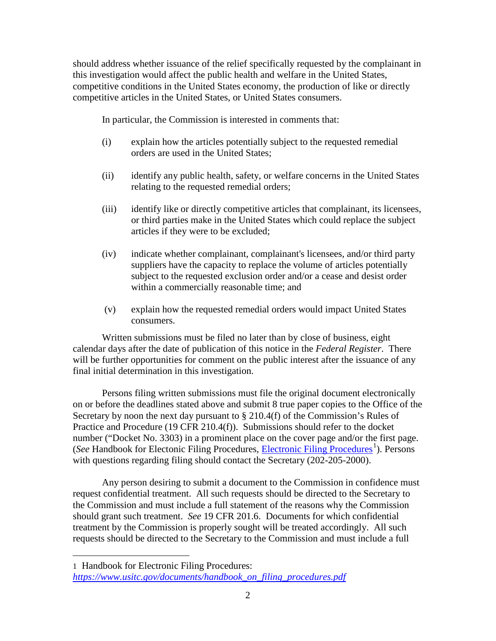should address whether issuance of the relief specifically requested by the complainant in this investigation would affect the public health and welfare in the United States, competitive conditions in the United States economy, the production of like or directly competitive articles in the United States, or United States consumers.

In particular, the Commission is interested in comments that:

- (i) explain how the articles potentially subject to the requested remedial orders are used in the United States;
- (ii) identify any public health, safety, or welfare concerns in the United States relating to the requested remedial orders;
- (iii) identify like or directly competitive articles that complainant, its licensees, or third parties make in the United States which could replace the subject articles if they were to be excluded;
- (iv) indicate whether complainant, complainant's licensees, and/or third party suppliers have the capacity to replace the volume of articles potentially subject to the requested exclusion order and/or a cease and desist order within a commercially reasonable time; and
- (v) explain how the requested remedial orders would impact United States consumers.

Written submissions must be filed no later than by close of business, eight calendar days after the date of publication of this notice in the *Federal Register*. There will be further opportunities for comment on the public interest after the issuance of any final initial determination in this investigation.

Persons filing written submissions must file the original document electronically on or before the deadlines stated above and submit 8 true paper copies to the Office of the Secretary by noon the next day pursuant to § 210.4(f) of the Commission's Rules of Practice and Procedure (19 CFR 210.4(f)). Submissions should refer to the docket number ("Docket No. 3303) in a prominent place on the cover page and/or the first page. (See Handbook for Electonic Filing Procedures, *Electronic Filing Procedures*<sup>[1](#page-1-0)</sup>). Persons with questions regarding filing should contact the Secretary (202-205-2000).

Any person desiring to submit a document to the Commission in confidence must request confidential treatment. All such requests should be directed to the Secretary to the Commission and must include a full statement of the reasons why the Commission should grant such treatment. *See* 19 CFR 201.6. Documents for which confidential treatment by the Commission is properly sought will be treated accordingly. All such requests should be directed to the Secretary to the Commission and must include a full

 $\overline{a}$ 

<span id="page-1-0"></span><sup>1</sup> Handbook for Electronic Filing Procedures: *[https://www.usitc.gov/documents/handbook\\_on\\_filing\\_procedures.pdf](https://www.usitc.gov/documents/handbook_on_filing_procedures.pdf)*